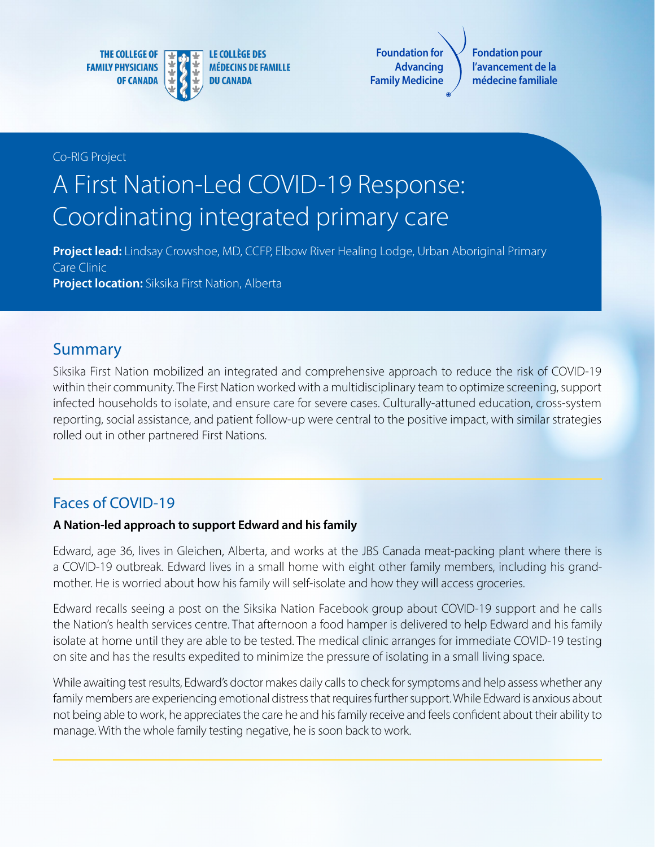**THE COLLEGE OF FAMILY PHYSICIANS OF CANADA** 



**Foundation for Advancing Family Medicine**

**Fondation pour l'avancement de la médecine familiale**

#### Co-RIG Project

# A First Nation-Led COVID-19 Response: Coordinating integrated primary care

**Project lead:** Lindsay Crowshoe, MD, CCFP, Elbow River Healing Lodge, Urban Aboriginal Primary Care Clinic **Project location:** Siksika First Nation, Alberta

## **Summary**

Siksika First Nation mobilized an integrated and comprehensive approach to reduce the risk of COVID-19 within their community. The First Nation worked with a multidisciplinary team to optimize screening, support infected households to isolate, and ensure care for severe cases. Culturally-attuned education, cross-system reporting, social assistance, and patient follow-up were central to the positive impact, with similar strategies rolled out in other partnered First Nations.

#### Faces of COVID-19

#### **A Nation-led approach to support Edward and his family**

Edward, age 36, lives in Gleichen, Alberta, and works at the JBS Canada meat-packing plant where there is a COVID-19 outbreak. Edward lives in a small home with eight other family members, including his grandmother. He is worried about how his family will self-isolate and how they will access groceries.

Edward recalls seeing a post on the Siksika Nation Facebook group about COVID-19 support and he calls the Nation's health services centre. That afternoon a food hamper is delivered to help Edward and his family isolate at home until they are able to be tested. The medical clinic arranges for immediate COVID-19 testing on site and has the results expedited to minimize the pressure of isolating in a small living space.

While awaiting test results, Edward's doctor makes daily calls to check for symptoms and help assess whether any family members are experiencing emotional distress that requires further support. While Edward is anxious about not being able to work, he appreciates the care he and his family receive and feels confident about their ability to manage. With the whole family testing negative, he is soon back to work.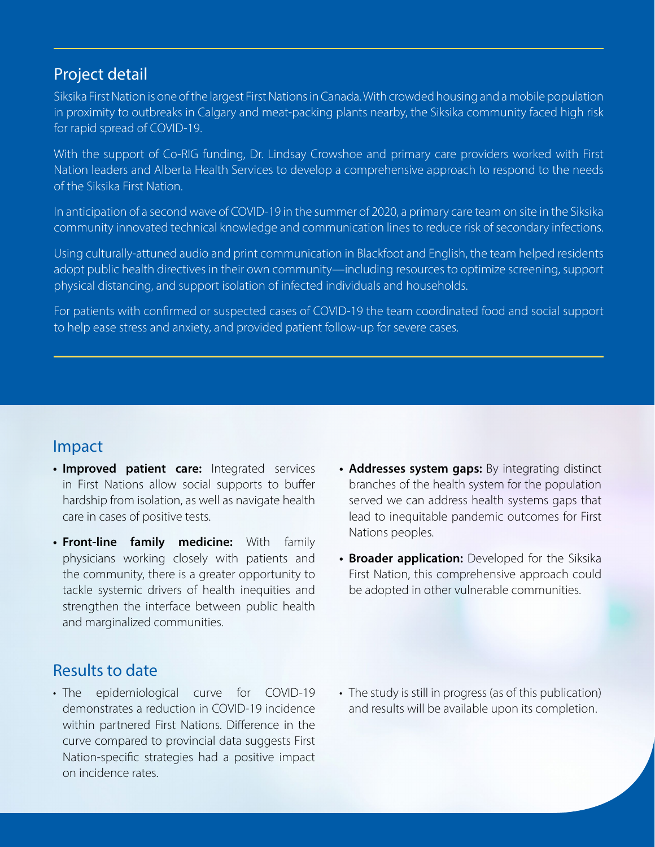### Project detail

Siksika First Nation is one of the largest First Nations in Canada. With crowded housing and a mobile population in proximity to outbreaks in Calgary and meat-packing plants nearby, the Siksika community faced high risk for rapid spread of COVID-19.

With the support of Co-RIG funding, Dr. Lindsay Crowshoe and primary care providers worked with First Nation leaders and Alberta Health Services to develop a comprehensive approach to respond to the needs of the Siksika First Nation.

In anticipation of a second wave of COVID-19 in the summer of 2020, a primary care team on site in the Siksika community innovated technical knowledge and communication lines to reduce risk of secondary infections.

Using culturally-attuned audio and print communication in Blackfoot and English, the team helped residents adopt public health directives in their own community—including resources to optimize screening, support physical distancing, and support isolation of infected individuals and households.

For patients with confirmed or suspected cases of COVID-19 the team coordinated food and social support to help ease stress and anxiety, and provided patient follow-up for severe cases.

## Impact

- **• Improved patient care:** Integrated services in First Nations allow social supports to buffer hardship from isolation, as well as navigate health care in cases of positive tests.
- **• Front-line family medicine:** With family physicians working closely with patients and the community, there is a greater opportunity to tackle systemic drivers of health inequities and strengthen the interface between public health and marginalized communities.
- **• Addresses system gaps:** By integrating distinct branches of the health system for the population served we can address health systems gaps that lead to inequitable pandemic outcomes for First Nations peoples.
- **• Broader application:** Developed for the Siksika First Nation, this comprehensive approach could be adopted in other vulnerable communities.

## Results to date

- The epidemiological curve for COVID-19 demonstrates a reduction in COVID-19 incidence within partnered First Nations. Difference in the curve compared to provincial data suggests First Nation-specific strategies had a positive impact on incidence rates.
- The study is still in progress (as of this publication) and results will be available upon its completion.